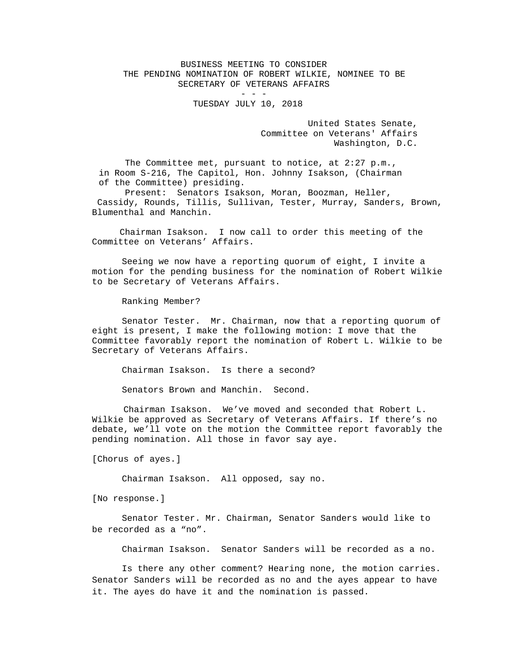## BUSINESS MEETING TO CONSIDER THE PENDING NOMINATION OF ROBERT WILKIE, NOMINEE TO BE SECRETARY OF VETERANS AFFAIRS

## - - - TUESDAY JULY 10, 2018

 United States Senate, Committee on Veterans' Affairs Washington, D.C.

The Committee met, pursuant to notice, at 2:27 p.m., in Room S-216, The Capitol, Hon. Johnny Isakson, (Chairman of the Committee) presiding.

 Present: Senators Isakson, Moran, Boozman, Heller, Cassidy, Rounds, Tillis, Sullivan, Tester, Murray, Sanders, Brown, Blumenthal and Manchin.

 Chairman Isakson. I now call to order this meeting of the Committee on Veterans' Affairs.

Seeing we now have a reporting quorum of eight, I invite a motion for the pending business for the nomination of Robert Wilkie to be Secretary of Veterans Affairs.

Ranking Member?

Senator Tester. Mr. Chairman, now that a reporting quorum of eight is present, I make the following motion: I move that the Committee favorably report the nomination of Robert L. Wilkie to be Secretary of Veterans Affairs.

Chairman Isakson. Is there a second?

Senators Brown and Manchin. Second.

 Chairman Isakson. We've moved and seconded that Robert L. Wilkie be approved as Secretary of Veterans Affairs. If there's no debate, we'll vote on the motion the Committee report favorably the pending nomination. All those in favor say aye.

[Chorus of ayes.]

Chairman Isakson. All opposed, say no.

[No response.]

 Senator Tester. Mr. Chairman, Senator Sanders would like to be recorded as a "no".

Chairman Isakson. Senator Sanders will be recorded as a no.

Is there any other comment? Hearing none, the motion carries. Senator Sanders will be recorded as no and the ayes appear to have it. The ayes do have it and the nomination is passed.